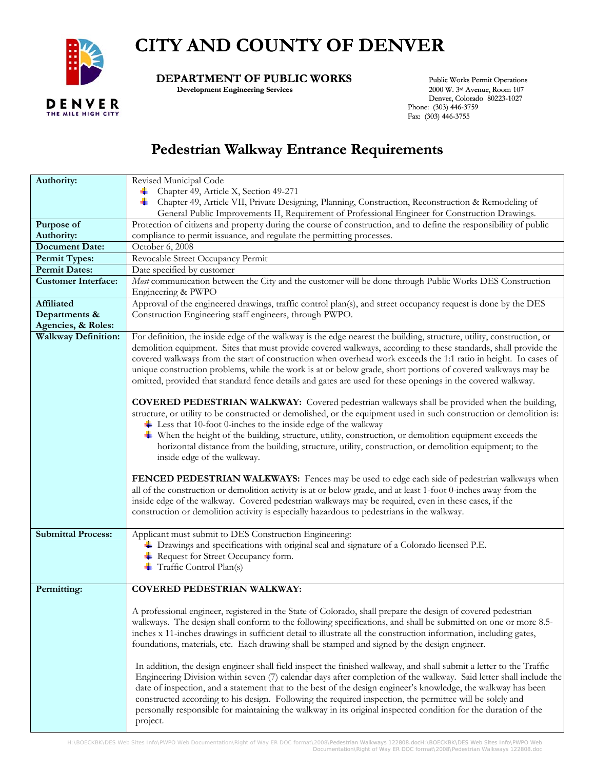

## **CITY AND COUNTY OF DENVER**

## **DEPARTMENT OF PUBLIC WORKS** Public Works Permit Operations<br>Development Engineering Services 2000 W. 3rd Avenue, Room 107

**Development Engineering Services** 

 Denver, Colorado 80223-1027 Phone: (303) 446-3759 Fax: (303) 446-3755

## **Pedestrian Walkway Entrance Requirements**

| Authority:                 | Revised Municipal Code                                                                                                                                                                                                                                                                                                                                                                                                                                                                                                                                                                                                                                                                                                                                                                                                                                                                                                                                                                                                                                       |
|----------------------------|--------------------------------------------------------------------------------------------------------------------------------------------------------------------------------------------------------------------------------------------------------------------------------------------------------------------------------------------------------------------------------------------------------------------------------------------------------------------------------------------------------------------------------------------------------------------------------------------------------------------------------------------------------------------------------------------------------------------------------------------------------------------------------------------------------------------------------------------------------------------------------------------------------------------------------------------------------------------------------------------------------------------------------------------------------------|
|                            | Chapter 49, Article X, Section 49-271<br>۰.                                                                                                                                                                                                                                                                                                                                                                                                                                                                                                                                                                                                                                                                                                                                                                                                                                                                                                                                                                                                                  |
|                            | Chapter 49, Article VII, Private Designing, Planning, Construction, Reconstruction & Remodeling of                                                                                                                                                                                                                                                                                                                                                                                                                                                                                                                                                                                                                                                                                                                                                                                                                                                                                                                                                           |
|                            | General Public Improvements II, Requirement of Professional Engineer for Construction Drawings.                                                                                                                                                                                                                                                                                                                                                                                                                                                                                                                                                                                                                                                                                                                                                                                                                                                                                                                                                              |
| Purpose of                 | Protection of citizens and property during the course of construction, and to define the responsibility of public                                                                                                                                                                                                                                                                                                                                                                                                                                                                                                                                                                                                                                                                                                                                                                                                                                                                                                                                            |
| <b>Authority:</b>          | compliance to permit issuance, and regulate the permitting processes.                                                                                                                                                                                                                                                                                                                                                                                                                                                                                                                                                                                                                                                                                                                                                                                                                                                                                                                                                                                        |
| <b>Document Date:</b>      | October 6, 2008                                                                                                                                                                                                                                                                                                                                                                                                                                                                                                                                                                                                                                                                                                                                                                                                                                                                                                                                                                                                                                              |
| <b>Permit Types:</b>       | Revocable Street Occupancy Permit                                                                                                                                                                                                                                                                                                                                                                                                                                                                                                                                                                                                                                                                                                                                                                                                                                                                                                                                                                                                                            |
| <b>Permit Dates:</b>       | Date specified by customer                                                                                                                                                                                                                                                                                                                                                                                                                                                                                                                                                                                                                                                                                                                                                                                                                                                                                                                                                                                                                                   |
| <b>Customer Interface:</b> | Most communication between the City and the customer will be done through Public Works DES Construction<br>Engineering & PWPO                                                                                                                                                                                                                                                                                                                                                                                                                                                                                                                                                                                                                                                                                                                                                                                                                                                                                                                                |
| Affiliated                 | Approval of the engineered drawings, traffic control plan(s), and street occupancy request is done by the DES                                                                                                                                                                                                                                                                                                                                                                                                                                                                                                                                                                                                                                                                                                                                                                                                                                                                                                                                                |
| Departments &              | Construction Engineering staff engineers, through PWPO.                                                                                                                                                                                                                                                                                                                                                                                                                                                                                                                                                                                                                                                                                                                                                                                                                                                                                                                                                                                                      |
| Agencies, & Roles:         |                                                                                                                                                                                                                                                                                                                                                                                                                                                                                                                                                                                                                                                                                                                                                                                                                                                                                                                                                                                                                                                              |
| Walkway Definition:        | For definition, the inside edge of the walkway is the edge nearest the building, structure, utility, construction, or<br>demolition equipment. Sites that must provide covered walkways, according to these standards, shall provide the<br>covered walkways from the start of construction when overhead work exceeds the 1:1 ratio in height. In cases of<br>unique construction problems, while the work is at or below grade, short portions of covered walkways may be<br>omitted, provided that standard fence details and gates are used for these openings in the covered walkway.                                                                                                                                                                                                                                                                                                                                                                                                                                                                   |
|                            | <b>COVERED PEDESTRIAN WALKWAY:</b> Covered pedestrian walkways shall be provided when the building,<br>structure, or utility to be constructed or demolished, or the equipment used in such construction or demolition is:<br>$\pm$ Less that 10-foot 0-inches to the inside edge of the walkway<br>$\ddot{\bullet}$ When the height of the building, structure, utility, construction, or demolition equipment exceeds the<br>horizontal distance from the building, structure, utility, construction, or demolition equipment; to the<br>inside edge of the walkway.                                                                                                                                                                                                                                                                                                                                                                                                                                                                                       |
|                            | FENCED PEDESTRIAN WALKWAYS: Fences may be used to edge each side of pedestrian walkways when<br>all of the construction or demolition activity is at or below grade, and at least 1-foot 0-inches away from the<br>inside edge of the walkway. Covered pedestrian walkways may be required, even in these cases, if the<br>construction or demolition activity is especially hazardous to pedestrians in the walkway.                                                                                                                                                                                                                                                                                                                                                                                                                                                                                                                                                                                                                                        |
| <b>Submittal Process:</b>  | Applicant must submit to DES Construction Engineering:                                                                                                                                                                                                                                                                                                                                                                                                                                                                                                                                                                                                                                                                                                                                                                                                                                                                                                                                                                                                       |
|                            | + Drawings and specifications with original seal and signature of a Colorado licensed P.E.                                                                                                                                                                                                                                                                                                                                                                                                                                                                                                                                                                                                                                                                                                                                                                                                                                                                                                                                                                   |
|                            | Request for Street Occupancy form.                                                                                                                                                                                                                                                                                                                                                                                                                                                                                                                                                                                                                                                                                                                                                                                                                                                                                                                                                                                                                           |
|                            | Traffic Control Plan(s)                                                                                                                                                                                                                                                                                                                                                                                                                                                                                                                                                                                                                                                                                                                                                                                                                                                                                                                                                                                                                                      |
|                            |                                                                                                                                                                                                                                                                                                                                                                                                                                                                                                                                                                                                                                                                                                                                                                                                                                                                                                                                                                                                                                                              |
| Permitting:                | COVERED PEDESTRIAN WALKWAY:                                                                                                                                                                                                                                                                                                                                                                                                                                                                                                                                                                                                                                                                                                                                                                                                                                                                                                                                                                                                                                  |
|                            | A professional engineer, registered in the State of Colorado, shall prepare the design of covered pedestrian<br>walkways. The design shall conform to the following specifications, and shall be submitted on one or more 8.5-<br>inches x 11-inches drawings in sufficient detail to illustrate all the construction information, including gates,<br>foundations, materials, etc. Each drawing shall be stamped and signed by the design engineer.<br>In addition, the design engineer shall field inspect the finished walkway, and shall submit a letter to the Traffic<br>Engineering Division within seven (7) calendar days after completion of the walkway. Said letter shall include the<br>date of inspection, and a statement that to the best of the design engineer's knowledge, the walkway has been<br>constructed according to his design. Following the required inspection, the permittee will be solely and<br>personally responsible for maintaining the walkway in its original inspected condition for the duration of the<br>project. |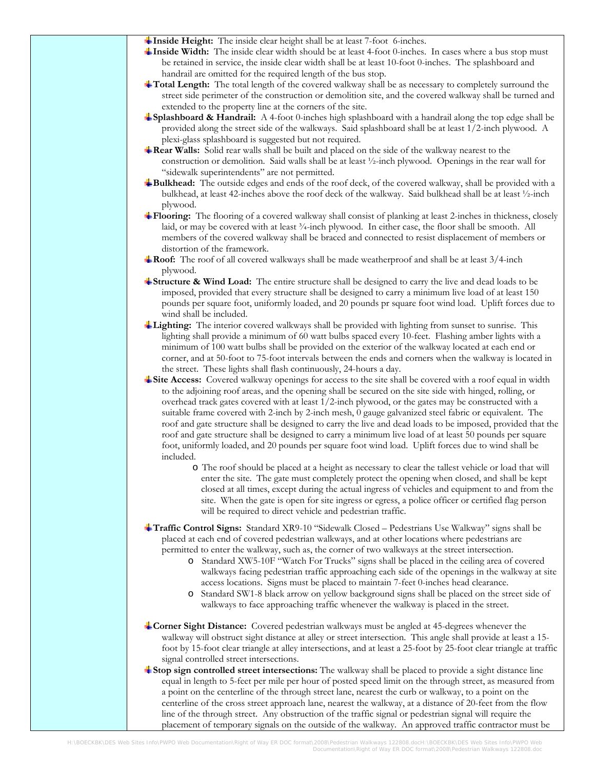**Inside Height:** The inside clear height shall be at least 7-foot 6-inches.

- **Inside Width:** The inside clear width should be at least 4-foot 0-inches. In cases where a bus stop must be retained in service, the inside clear width shall be at least 1 0-foot 0-inches. The splashboard and handrail are omitted for the required length of the bus stop.
- **Total Length:** The total length of the covered walkway shall be as necessary to completely surround the street side perimeter of the construction or demolition site, and the covered walkway shall be turned and extended to the property line at the corners of the site.
- **Splashboard & Handrail:** A 4-foot 0-inches high splashboard with a handrail along the top edge shall be provided along the street side of the walkways. Said splashboard shall be at least 1/2-inch plywood. A plexi-glass splashboard is suggested but not required.
- **Rear Walls:** Solid rear walls shall be built and placed on the side of the walkway nearest to the construction or demolition. Said walls shall be at least ½-inch plywood. Openings in the rear wall for "sidewalk superintendents" are not permitted.
- **Bulkhead:** The outside edges and ends of the roof deck, of the covered walkway, shall be provided with a bulkhead, at least 42-inches above the roof deck of the walkway. Said bulkhead shall be at least ½-inch plywood.
- Flooring: The flooring of a covered walkway shall consist of planking at least 2-inches in thickness, closely laid, or may be covered with at least  $\frac{3}{4}$ -inch plywood. In either case, the floor shall be smooth. All members of the covered walk way shall be braced and connected to resist displacement of members or distortion of the framework.
- **Roof:** The roof of all covered walkways shall be made weatherproof and shall be at least 3/4-inch plywood.
- **Structure & Wind Load:** The entire structure shall be designed to carry the live and dead loads to be imposed, provided that every structure shall be designed to carry a minimum live load of at least 150 pounds per square foot, uniformly loaded, and 20 pounds pr square foot wind load. Uplift forces due to wind shall be included.
- **Lighting:** The interior covered walkways shall be provided with lighting from sunset to sunrise. This lighting shall provide a minimum of 60 watt bulbs spaced every 10-feet. Flashing amber lights with a minimum of 100 watt bulbs shall be provided on the exterior of the walkway located at each end or corner, and at 50-foot to 75-foot intervals between the ends and corners when the walkway is located in the street. These lights shall flash continuously, 24-hours a day.
- **Site Access:** Covered walkway openings for access to the site shall be covered with a roof equal in width to the adjoining roof areas, and the opening shall be secured on the site side with hinged, rolling, or overhead track gates covered with at least 1/2-inch plywood, or the gates may be constructed with a suitable frame covered with 2-inch by 2-inch mesh, 0 gauge galvanized steel fabric or equivalent. The roof and gate structure shall be designed to carry the live and dead loads to be imposed, provided that th e roof and gate structure shall be designed to carry a minimum live load of at least 50 pounds per squar e foot, unifo rmly loaded, and 20 pounds per square foot wind load. Uplift forces due to wind shall be included.
	- site. When the gate is open for site ingress or egress, a police officer or certified flag person o The roof should be placed at a height as necessary to clear the tallest vehicle or load that will enter the site. The gate must completely protect the opening when closed, and shall be kept closed at all times, except during the actual ingress of vehicles and equipment to and from the will be required to direct vehicle and pedestrian traffic.
- Traffic Control Signs: Standard XR9-10 "Sidewalk Closed Pedestrians Use Walkway" signs shall be placed at each end of covered pedestrian walkways, and at other locations where pedestrians ar e permitted to enter the walkway, such as, the corner of two walkways at the street intersection.
	- walkways facing pedestrian traffic approaching each side of the openings in the walkway at site o Standard XW5-10F "Watch For Trucks" signs shall be placed in the ceiling area of covered access locations. Signs must be placed to maintain 7-feet 0-inches head clearance.
	- o Standard SW1-8 black arrow on yellow background signs shall be placed on the street side of walkways to face approaching traffic whenever the walkway is placed in the street.
- **Corner Sight Distance:** Covered pedestrian walkways must be angled at 45-degrees whenever the walkway will obstruct sight distance at alley or street intersection. This angle shall provide at least a 15 foot by 15-foot clear triangle at alley intersections, and at least a 25-foot by 25-foot clear triangle at traffic signal controlled street intersections.
- **Stop sign controlled street intersections:** The walkway shall be placed to provide a sight distance line equal in length to 5-feet per mile per hour of posted speed limit on the through street, as measured from a point on the centerline of the through street lane, nearest the curb or walkway, to a point on the centerline of the cross street approach lane, nearest the walkway, at a distance of 20-feet from the fl ow line of the through street. Any obstruction of the traffic signal or pedestrian signal will require the placement of temporary signals on the outside of the walkway. An approved traffic contr actor must be